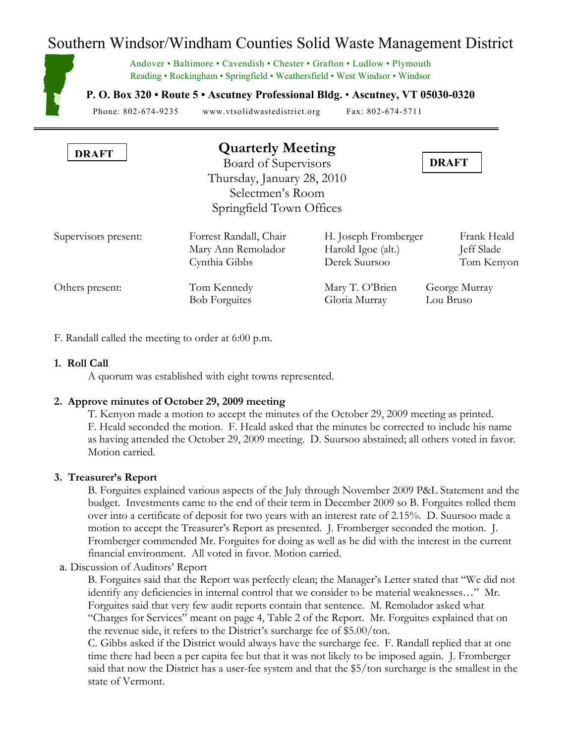# Southern Windsor/Windham Counties Solid Waste Management District

Andover • Baltimore • Cavendish • Chester • Grafton • Ludlow • Plymouth Reading • Rockingham • Springfield • Weathersfield • West Windsor • Windsor

**P. O. Box 320 • Route 5 • Ascutney Professional Bldg.** • **Ascutney, VT 05030-0320**

Phone: 802-674-9235 www.vtsolidwastedistrict.org Fax: 802-674-5711

| <b>DRAFT</b> | <b>Quarterly Meeting</b>   |              |  |
|--------------|----------------------------|--------------|--|
|              | Board of Supervisors       | <b>DRAFT</b> |  |
|              | Thursday, January 28, 2010 |              |  |
|              | Selectmen's Room           |              |  |

| Supervisors present: | Forrest Randall, Chair | H. Joseph Fromberger | Frank Heald   |
|----------------------|------------------------|----------------------|---------------|
|                      | Mary Ann Remolador     | Harold Igoe (alt.)   | Jeff Slade    |
|                      | Cynthia Gibbs          | Derek Suursoo        | Tom Kenyon    |
| Others present:      | Tom Kennedy            | Mary T. O'Brien      | George Murray |
|                      | <b>Bob Forguites</b>   | Gloria Murray        | Lou Bruso     |

Springfield Town Offices

F. Randall called the meeting to order at 6:00 p.m.

## **1. Roll Call**

A quorum was established with eight towns represented.

# **2. Approve minutes of October 29, 2009 meeting**

T. Kenyon made a motion to accept the minutes of the October 29, 2009 meeting as printed. F. Heald seconded the motion. F. Heald asked that the minutes be corrected to include his name as having attended the October 29, 2009 meeting. D. Suursoo abstained; all others voted in favor. Motion carried.

# **3. Treasurer's Report**

B. Forguites explained various aspects of the July through November 2009 P&L Statement and the budget. Investments came to the end of their term in December 2009 so B. Forguites rolled them over into a certificate of deposit for two years with an interest rate of 2.15%. D. Suursoo made a motion to accept the Treasurer's Report as presented. J. Fromberger seconded the motion. J. Fromberger commended Mr. Forguites for doing as well as he did with the interest in the current financial environment. All voted in favor. Motion carried.

a. Discussion of Auditors' Report

B. Forguites said that the Report was perfectly clean; the Manager's Letter stated that "We did not identify any deficiencies in internal control that we consider to be material weaknesses…" Mr. Forguites said that very few audit reports contain that sentence. M. Remolador asked what "Charges for Services" meant on page 4, Table 2 of the Report. Mr. Forguites explained that on the revenue side, it refers to the District's surcharge fee of \$5.00/ton.

C. Gibbs asked if the District would always have the surcharge fee. F. Randall replied that at one time there had been a per capita fee but that it was not likely to be imposed again. J. Fromberger said that now the District has a user-fee system and that the \$5/ton surcharge is the smallest in the state of Vermont.